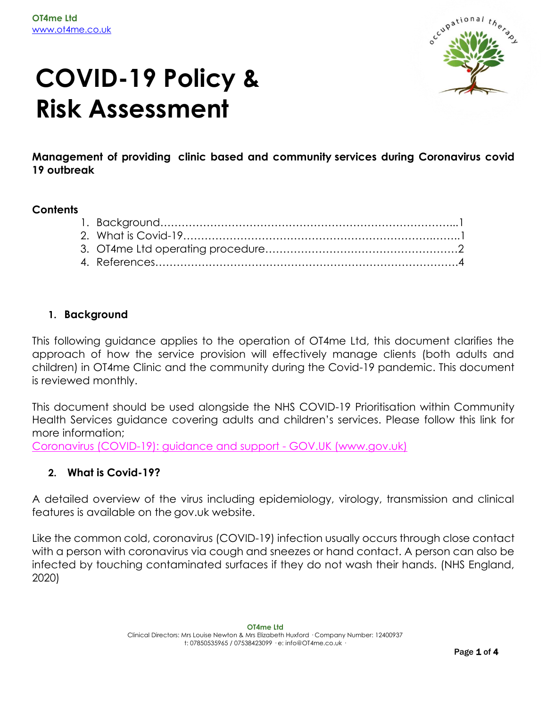

# **COVID-19 Policy & Risk Assessment**

**Management of providing clinic based and community services during Coronavirus covid 19 outbreak**

#### **Contents**

#### **1. Background**

This following guidance applies to the operation of OT4me Ltd, this document clarifies the approach of how the service provision will effectively manage clients (both adults and children) in OT4me Clinic and the community during the Covid-19 pandemic. This document is reviewed monthly.

This document should be used alongside the NHS COVID-19 Prioritisation within Community Health Services guidance covering adults and children's services. Please follow this link for more information;

[Coronavirus \(COVID-19\): guidance and support -](https://www.gov.uk/coronavirus) GOV.UK (www.gov.uk)

# **2. What is Covid-19?**

A detailed overview of the virus including epidemiology, virology, transmission and clinical features is available on the gov.uk website.

Like the common cold, coronavirus (COVID-19) infection usually occurs through close contact with a person with coronavirus via cough and sneezes or hand contact. A person can also be infected by touching contaminated surfaces if they do not wash their hands. (NHS England, 2020)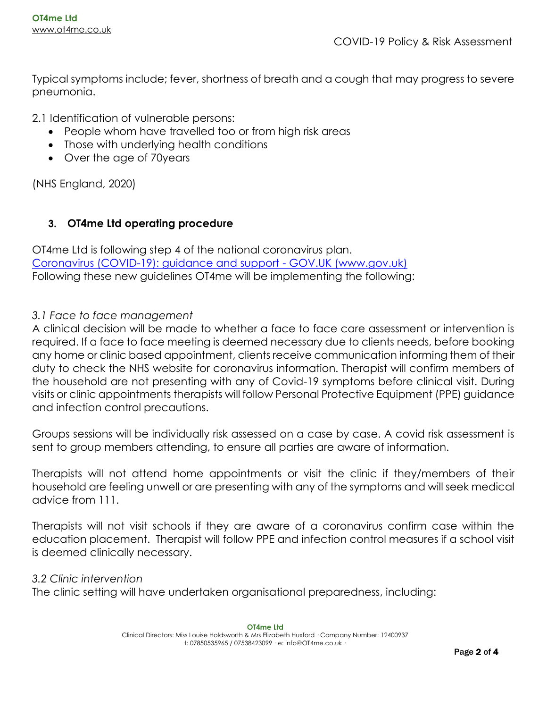Typical symptoms include; fever, shortness of breath and a cough that may progress to severe pneumonia.

2.1 Identification of vulnerable persons:

- People whom have travelled too or from high risk areas
- Those with underlying health conditions
- Over the age of 70years

(NHS England, 2020)

# **3. OT4me Ltd operating procedure**

OT4me Ltd is following step 4 of the national coronavirus plan. [Coronavirus \(COVID-19\): guidance and support -](https://www.gov.uk/coronavirus) GOV.UK (www.gov.uk) Following these new guidelines OT4me will be implementing the following:

### *3.1 Face to face management*

A clinical decision will be made to whether a face to face care assessment or intervention is required. If a face to face meeting is deemed necessary due to clients needs, before booking any home or clinic based appointment, clients receive communication informing them of their duty to check the NHS website for coronavirus information. Therapist will confirm members of the household are not presenting with any of Covid-19 symptoms before clinical visit. During visits or clinic appointments therapists will follow Personal Protective Equipment (PPE) guidance and infection control precautions.

Groups sessions will be individually risk assessed on a case by case. A covid risk assessment is sent to group members attending, to ensure all parties are aware of information.

Therapists will not attend home appointments or visit the clinic if they/members of their household are feeling unwell or are presenting with any of the symptoms and will seek medical advice from 111.

Therapists will not visit schools if they are aware of a coronavirus confirm case within the education placement. Therapist will follow PPE and infection control measures if a school visit is deemed clinically necessary.

#### *3.2 Clinic intervention*

The clinic setting will have undertaken organisational preparedness, including: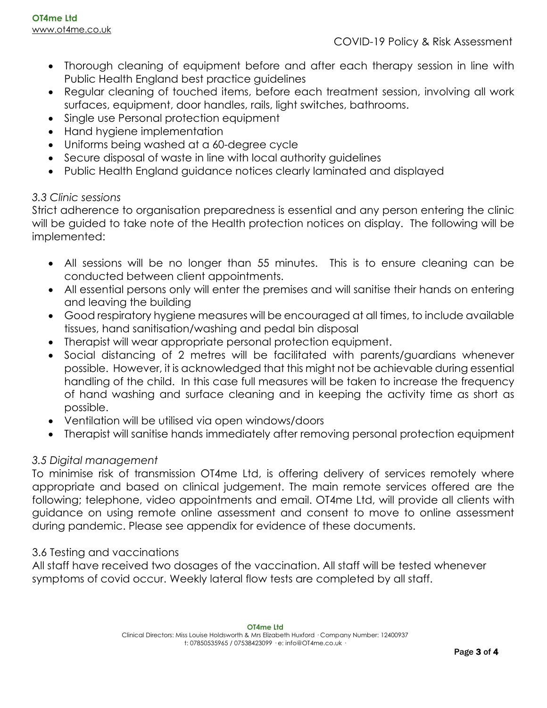- Thorough cleaning of equipment before and after each therapy session in line with Public Health England best practice guidelines
- Regular cleaning of touched items, before each treatment session, involving all work surfaces, equipment, door handles, rails, light switches, bathrooms.
- Single use Personal protection equipment
- Hand hygiene implementation
- Uniforms being washed at a 60-degree cycle
- Secure disposal of waste in line with local authority guidelines
- Public Health England guidance notices clearly laminated and displayed

# *3.3 Clinic sessions*

Strict adherence to organisation preparedness is essential and any person entering the clinic will be guided to take note of the Health protection notices on display. The following will be implemented:

- All sessions will be no longer than 55 minutes. This is to ensure cleaning can be conducted between client appointments.
- All essential persons only will enter the premises and will sanitise their hands on entering and leaving the building
- Good respiratory hygiene measures will be encouraged at all times, to include available tissues, hand sanitisation/washing and pedal bin disposal
- Therapist will wear appropriate personal protection equipment.
- Social distancing of 2 metres will be facilitated with parents/guardians whenever possible. However, it is acknowledged that this might not be achievable during essential handling of the child. In this case full measures will be taken to increase the frequency of hand washing and surface cleaning and in keeping the activity time as short as possible.
- Ventilation will be utilised via open windows/doors
- Therapist will sanitise hands immediately after removing personal protection equipment

# *3.5 Digital management*

To minimise risk of transmission OT4me Ltd, is offering delivery of services remotely where appropriate and based on clinical judgement. The main remote services offered are the following; telephone, video appointments and email. OT4me Ltd, will provide all clients with guidance on using remote online assessment and consent to move to online assessment during pandemic. Please see appendix for evidence of these documents.

# 3.6 Testing and vaccinations

All staff have received two dosages of the vaccination. All staff will be tested whenever symptoms of covid occur. Weekly lateral flow tests are completed by all staff.